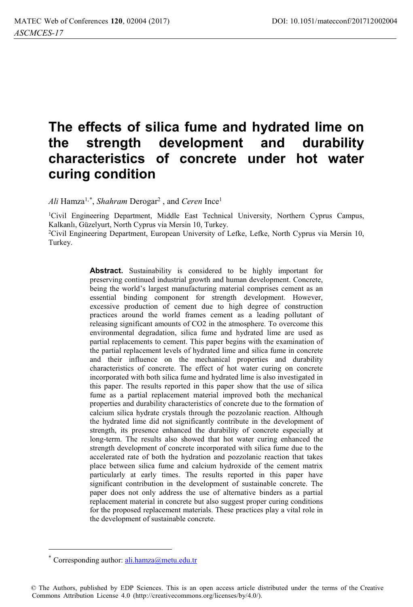# **The effects of silica fume and hydrated lime on the strength development and durability characteristics of concrete under hot water curing condition**

*Ali* Hamza1,\*, *Shahram* Derogar2 , and *Ceren* Ince1

1Civil Engineering Department, Middle East Technical University, Northern Cyprus Campus, Kalkanlı, Güzelyurt, North Cyprus via Mersin 10, Turkey.

<sup>2</sup>Civil Engineering Department, European University of Lefke, Lefke, North Cyprus via Mersin 10, Turkey.

> **Abstract.** Sustainability is considered to be highly important for preserving continued industrial growth and human development. Concrete, being the world's largest manufacturing material comprises cement as an essential binding component for strength development. However, excessive production of cement due to high degree of construction practices around the world frames cement as a leading pollutant of releasing significant amounts of CO2 in the atmosphere. To overcome this environmental degradation, silica fume and hydrated lime are used as partial replacements to cement. This paper begins with the examination of the partial replacement levels of hydrated lime and silica fume in concrete and their influence on the mechanical properties and durability characteristics of concrete. The effect of hot water curing on concrete incorporated with both silica fume and hydrated lime is also investigated in this paper. The results reported in this paper show that the use of silica fume as a partial replacement material improved both the mechanical properties and durability characteristics of concrete due to the formation of calcium silica hydrate crystals through the pozzolanic reaction. Although the hydrated lime did not significantly contribute in the development of strength, its presence enhanced the durability of concrete especially at long-term. The results also showed that hot water curing enhanced the strength development of concrete incorporated with silica fume due to the accelerated rate of both the hydration and pozzolanic reaction that takes place between silica fume and calcium hydroxide of the cement matrix particularly at early times. The results reported in this paper have significant contribution in the development of sustainable concrete. The paper does not only address the use of alternative binders as a partial replacement material in concrete but also suggest proper curing conditions for the proposed replacement materials. These practices play a vital role in the development of sustainable concrete.

<sup>\*</sup> Corresponding author: ali.hamza@metu.edu.tr

<sup>©</sup> The Authors, published by EDP Sciences. This is an open access article distributed under the terms of the Creative Commons Attribution License 4.0 (http://creativecommons.org/licenses/by/4.0/).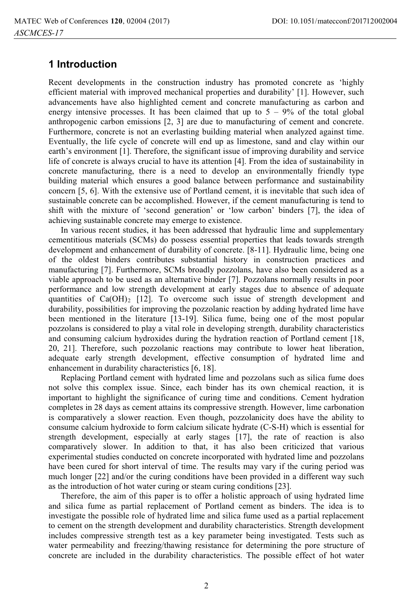### **1 Introduction**

Recent developments in the construction industry has promoted concrete as 'highly efficient material with improved mechanical properties and durability' [1]. However, such advancements have also highlighted cement and concrete manufacturing as carbon and energy intensive processes. It has been claimed that up to  $5 - 9\%$  of the total global anthropogenic carbon emissions [2, 3] are due to manufacturing of cement and concrete. Furthermore, concrete is not an everlasting building material when analyzed against time. Eventually, the life cycle of concrete will end up as limestone, sand and clay within our earth's environment [1]. Therefore, the significant issue of improving durability and service life of concrete is always crucial to have its attention [4]. From the idea of sustainability in concrete manufacturing, there is a need to develop an environmentally friendly type building material which ensures a good balance between performance and sustainability concern [5, 6]. With the extensive use of Portland cement, it is inevitable that such idea of sustainable concrete can be accomplished. However, if the cement manufacturing is tend to shift with the mixture of 'second generation' or 'low carbon' binders [7], the idea of achieving sustainable concrete may emerge to existence.

In various recent studies, it has been addressed that hydraulic lime and supplementary cementitious materials (SCMs) do possess essential properties that leads towards strength development and enhancement of durability of concrete. [8-11]. Hydraulic lime, being one of the oldest binders contributes substantial history in construction practices and manufacturing [7]. Furthermore, SCMs broadly pozzolans, have also been considered as a viable approach to be used as an alternative binder [7]. Pozzolans normally results in poor performance and low strength development at early stages due to absence of adequate quantities of  $Ca(OH)_2$  [12]. To overcome such issue of strength development and durability, possibilities for improving the pozzolanic reaction by adding hydrated lime have been mentioned in the literature [13-19]. Silica fume, being one of the most popular pozzolans is considered to play a vital role in developing strength, durability characteristics and consuming calcium hydroxides during the hydration reaction of Portland cement [18, 20, 21]. Therefore, such pozzolanic reactions may contribute to lower heat liberation, adequate early strength development, effective consumption of hydrated lime and enhancement in durability characteristics [6, 18].

Replacing Portland cement with hydrated lime and pozzolans such as silica fume does not solve this complex issue. Since, each binder has its own chemical reaction, it is important to highlight the significance of curing time and conditions. Cement hydration completes in 28 days as cement attains its compressive strength. However, lime carbonation is comparatively a slower reaction. Even though, pozzolanicity does have the ability to consume calcium hydroxide to form calcium silicate hydrate (C-S-H) which is essential for strength development, especially at early stages [17], the rate of reaction is also comparatively slower. In addition to that, it has also been criticized that various experimental studies conducted on concrete incorporated with hydrated lime and pozzolans have been cured for short interval of time. The results may vary if the curing period was much longer [22] and/or the curing conditions have been provided in a different way such as the introduction of hot water curing or steam curing conditions [23].

Therefore, the aim of this paper is to offer a holistic approach of using hydrated lime and silica fume as partial replacement of Portland cement as binders. The idea is to investigate the possible role of hydrated lime and silica fume used as a partial replacement to cement on the strength development and durability characteristics. Strength development includes compressive strength test as a key parameter being investigated. Tests such as water permeability and freezing/thawing resistance for determining the pore structure of concrete are included in the durability characteristics. The possible effect of hot water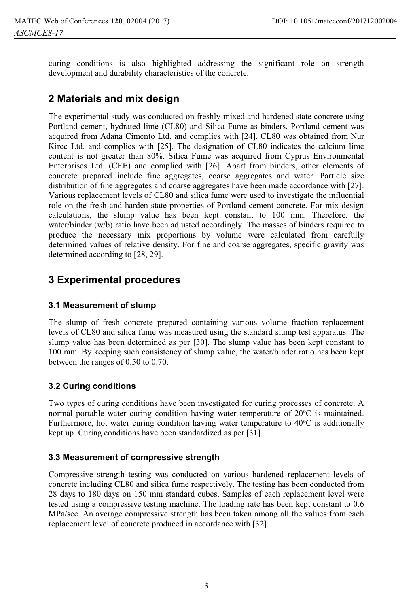curing conditions is also highlighted addressing the significant role on strength development and durability characteristics of the concrete.

### **2 Materials and mix design**

The experimental study was conducted on freshly-mixed and hardened state concrete using Portland cement, hydrated lime (CL80) and Silica Fume as binders. Portland cement was acquired from Adana Cimento Ltd. and complies with [24]. CL80 was obtained from Nur Kirec Ltd. and complies with [25]. The designation of CL80 indicates the calcium lime content is not greater than 80%. Silica Fume was acquired from Cyprus Environmental Enterprises Ltd. (CEE) and complied with [26]. Apart from binders, other elements of concrete prepared include fine aggregates, coarse aggregates and water. Particle size distribution of fine aggregates and coarse aggregates have been made accordance with [27]. Various replacement levels of CL80 and silica fume were used to investigate the influential role on the fresh and harden state properties of Portland cement concrete. For mix design calculations, the slump value has been kept constant to 100 mm. Therefore, the water/binder (w/b) ratio have been adjusted accordingly. The masses of binders required to produce the necessary mix proportions by volume were calculated from carefully determined values of relative density. For fine and coarse aggregates, specific gravity was determined according to [28, 29].

# **3 Experimental procedures**

### **3.1 Measurement of slump**

The slump of fresh concrete prepared containing various volume fraction replacement levels of CL80 and silica fume was measured using the standard slump test apparatus. The slump value has been determined as per [30]. The slump value has been kept constant to 100 mm. By keeping such consistency of slump value, the water/binder ratio has been kept between the ranges of 0.50 to 0.70.

### **3.2 Curing conditions**

Two types of curing conditions have been investigated for curing processes of concrete. A normal portable water curing condition having water temperature of 20°C is maintained. Furthermore, hot water curing condition having water temperature to 40°C is additionally kept up. Curing conditions have been standardized as per [31].

### **3.3 Measurement of compressive strength**

Compressive strength testing was conducted on various hardened replacement levels of concrete including CL80 and silica fume respectively. The testing has been conducted from 28 days to 180 days on 150 mm standard cubes. Samples of each replacement level were tested using a compressive testing machine. The loading rate has been kept constant to 0.6 MPa/sec. An average compressive strength has been taken among all the values from each replacement level of concrete produced in accordance with [32].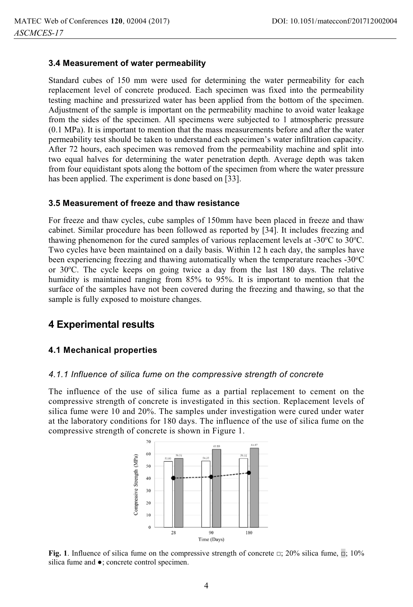#### **3.4 Measurement of water permeability**

Standard cubes of 150 mm were used for determining the water permeability for each replacement level of concrete produced. Each specimen was fixed into the permeability testing machine and pressurized water has been applied from the bottom of the specimen. Adjustment of the sample is important on the permeability machine to avoid water leakage from the sides of the specimen. All specimens were subjected to 1 atmospheric pressure (0.1 MPa). It is important to mention that the mass measurements before and after the water permeability test should be taken to understand each specimen's water infiltration capacity. After 72 hours, each specimen was removed from the permeability machine and split into two equal halves for determining the water penetration depth. Average depth was taken from four equidistant spots along the bottom of the specimen from where the water pressure has been applied. The experiment is done based on [33].

#### **3.5 Measurement of freeze and thaw resistance**

For freeze and thaw cycles, cube samples of 150mm have been placed in freeze and thaw cabinet. Similar procedure has been followed as reported by [34]. It includes freezing and thawing phenomenon for the cured samples of various replacement levels at -30°C to 30°C. Two cycles have been maintained on a daily basis. Within 12 h each day, the samples have been experiencing freezing and thawing automatically when the temperature reaches -30°C or 30°C. The cycle keeps on going twice a day from the last 180 days. The relative humidity is maintained ranging from 85% to 95%. It is important to mention that the surface of the samples have not been covered during the freezing and thawing, so that the sample is fully exposed to moisture changes.

### **4 Experimental results**

### **4.1 Mechanical properties**

#### *4.1.1 Influence of silica fume on the compressive strength of concrete*

The influence of the use of silica fume as a partial replacement to cement on the compressive strength of concrete is investigated in this section. Replacement levels of silica fume were 10 and 20%. The samples under investigation were cured under water at the laboratory conditions for 180 days. The influence of the use of silica fume on the compressive strength of concrete is shown in Figure 1.



**Fig. 1**. Influence of silica fume on the compressive strength of concrete  $\Box$ ; 20% silica fume,  $\Box$ ; 10% silica fume and  $\bullet$ ; concrete control specimen.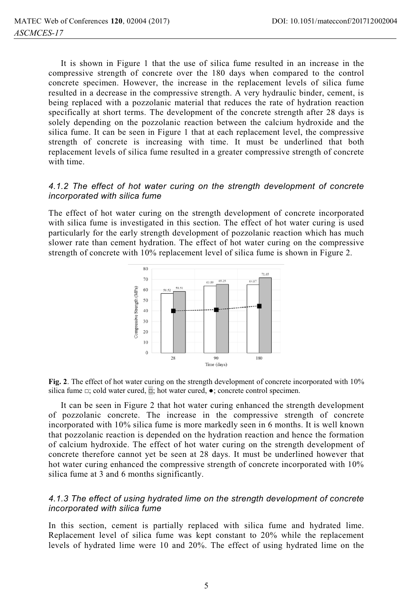It is shown in Figure 1 that the use of silica fume resulted in an increase in the compressive strength of concrete over the 180 days when compared to the control concrete specimen. However, the increase in the replacement levels of silica fume resulted in a decrease in the compressive strength. A very hydraulic binder, cement, is being replaced with a pozzolanic material that reduces the rate of hydration reaction specifically at short terms. The development of the concrete strength after 28 days is solely depending on the pozzolanic reaction between the calcium hydroxide and the silica fume. It can be seen in Figure 1 that at each replacement level, the compressive strength of concrete is increasing with time. It must be underlined that both replacement levels of silica fume resulted in a greater compressive strength of concrete with time.

#### *4.1.2 The effect of hot water curing on the strength development of concrete incorporated with silica fume*

The effect of hot water curing on the strength development of concrete incorporated with silica fume is investigated in this section. The effect of hot water curing is used particularly for the early strength development of pozzolanic reaction which has much slower rate than cement hydration. The effect of hot water curing on the compressive strength of concrete with 10% replacement level of silica fume is shown in Figure 2.



**Fig. 2**. The effect of hot water curing on the strength development of concrete incorporated with 10% silica fume  $\Box$ ; cold water cured,  $\Box$ ; hot water cured,  $\bullet$ ; concrete control specimen.

It can be seen in Figure 2 that hot water curing enhanced the strength development of pozzolanic concrete. The increase in the compressive strength of concrete incorporated with 10% silica fume is more markedly seen in 6 months. It is well known that pozzolanic reaction is depended on the hydration reaction and hence the formation of calcium hydroxide. The effect of hot water curing on the strength development of concrete therefore cannot yet be seen at 28 days. It must be underlined however that hot water curing enhanced the compressive strength of concrete incorporated with 10% silica fume at 3 and 6 months significantly.

#### *4.1.3 The effect of using hydrated lime on the strength development of concrete incorporated with silica fume*

In this section, cement is partially replaced with silica fume and hydrated lime. Replacement level of silica fume was kept constant to 20% while the replacement levels of hydrated lime were 10 and 20%. The effect of using hydrated lime on the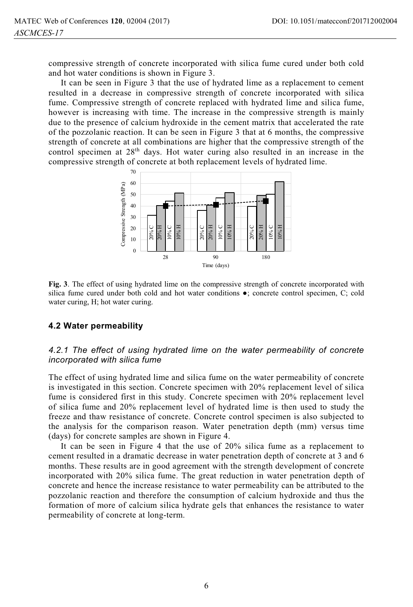compressive strength of concrete incorporated with silica fume cured under both cold and hot water conditions is shown in Figure 3.

It can be seen in Figure 3 that the use of hydrated lime as a replacement to cement resulted in a decrease in compressive strength of concrete incorporated with silica fume. Compressive strength of concrete replaced with hydrated lime and silica fume, however is increasing with time. The increase in the compressive strength is mainly due to the presence of calcium hydroxide in the cement matrix that accelerated the rate of the pozzolanic reaction. It can be seen in Figure 3 that at 6 months, the compressive strength of concrete at all combinations are higher that the compressive strength of the control specimen at 28<sup>th</sup> days. Hot water curing also resulted in an increase in the compressive strength of concrete at both replacement levels of hydrated lime.



**Fig. 3**. The effect of using hydrated lime on the compressive strength of concrete incorporated with silica fume cured under both cold and hot water conditions  $\bullet$ ; concrete control specimen, C; cold water curing, H; hot water curing.

#### **4.2 Water permeability**

#### *4.2.1 The effect of using hydrated lime on the water permeability of concrete incorporated with silica fume*

The effect of using hydrated lime and silica fume on the water permeability of concrete is investigated in this section. Concrete specimen with 20% replacement level of silica fume is considered first in this study. Concrete specimen with 20% replacement level of silica fume and 20% replacement level of hydrated lime is then used to study the freeze and thaw resistance of concrete. Concrete control specimen is also subjected to the analysis for the comparison reason. Water penetration depth (mm) versus time (days) for concrete samples are shown in Figure 4.

It can be seen in Figure 4 that the use of 20% silica fume as a replacement to cement resulted in a dramatic decrease in water penetration depth of concrete at 3 and 6 months. These results are in good agreement with the strength development of concrete incorporated with 20% silica fume. The great reduction in water penetration depth of concrete and hence the increase resistance to water permeability can be attributed to the pozzolanic reaction and therefore the consumption of calcium hydroxide and thus the formation of more of calcium silica hydrate gels that enhances the resistance to water permeability of concrete at long-term.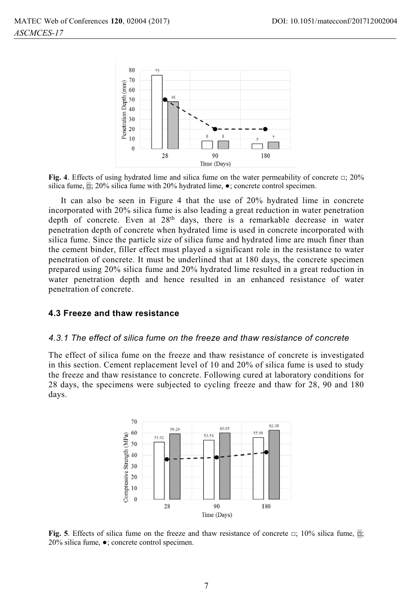

**Fig. 4**. Effects of using hydrated lime and silica fume on the water permeability of concrete  $\Box$ ; 20% silica fume,  $\Box$ ; 20% silica fume with 20% hydrated lime,  $\bullet$ ; concrete control specimen.

It can also be seen in Figure 4 that the use of 20% hydrated lime in concrete incorporated with 20% silica fume is also leading a great reduction in water penetration depth of concrete. Even at 28<sup>th</sup> days, there is a remarkable decrease in water penetration depth of concrete when hydrated lime is used in concrete incorporated with silica fume. Since the particle size of silica fume and hydrated lime are much finer than the cement binder, filler effect must played a significant role in the resistance to water penetration of concrete. It must be underlined that at 180 days, the concrete specimen prepared using 20% silica fume and 20% hydrated lime resulted in a great reduction in water penetration depth and hence resulted in an enhanced resistance of water penetration of concrete.

#### **4.3 Freeze and thaw resistance**

#### *4.3.1 The effect of silica fume on the freeze and thaw resistance of concrete*

The effect of silica fume on the freeze and thaw resistance of concrete is investigated in this section. Cement replacement level of 10 and 20% of silica fume is used to study the freeze and thaw resistance to concrete. Following cured at laboratory conditions for 28 days, the specimens were subjected to cycling freeze and thaw for 28, 90 and 180 days.



**Fig. 5**. Effects of silica fume on the freeze and thaw resistance of concrete  $\Box$ ; 10% silica fume,  $\Box$ ; 20% silica fume,  $\bullet$ ; concrete control specimen.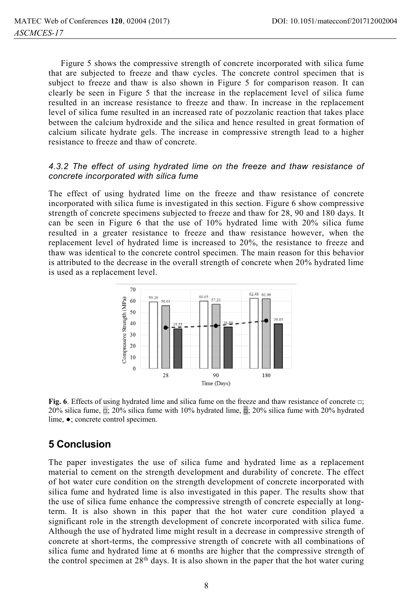Figure 5 shows the compressive strength of concrete incorporated with silica fume that are subjected to freeze and thaw cycles. The concrete control specimen that is subject to freeze and thaw is also shown in Figure 5 for comparison reason. It can clearly be seen in Figure 5 that the increase in the replacement level of silica fume resulted in an increase resistance to freeze and thaw. In increase in the replacement level of silica fume resulted in an increased rate of pozzolanic reaction that takes place between the calcium hydroxide and the silica and hence resulted in great formation of calcium silicate hydrate gels. The increase in compressive strength lead to a higher resistance to freeze and thaw of concrete.

#### *4.3.2 The effect of using hydrated lime on the freeze and thaw resistance of concrete incorporated with silica fume*

The effect of using hydrated lime on the freeze and thaw resistance of concrete incorporated with silica fume is investigated in this section. Figure 6 show compressive strength of concrete specimens subjected to freeze and thaw for 28, 90 and 180 days. It can be seen in Figure 6 that the use of 10% hydrated lime with 20% silica fume resulted in a greater resistance to freeze and thaw resistance however, when the replacement level of hydrated lime is increased to 20%, the resistance to freeze and thaw was identical to the concrete control specimen. The main reason for this behavior is attributed to the decrease in the overall strength of concrete when 20% hydrated lime is used as a replacement level.



**Fig. 6**. Effects of using hydrated lime and silica fume on the freeze and thaw resistance of concrete  $\Box$ ; 20% silica fume,  $\pi$ ; 20% silica fume with 10% hydrated lime,  $\pi$ ; 20% silica fume with 20% hydrated lime,  $\bullet$ ; concrete control specimen.

# **5 Conclusion**

The paper investigates the use of silica fume and hydrated lime as a replacement material to cement on the strength development and durability of concrete. The effect of hot water cure condition on the strength development of concrete incorporated with silica fume and hydrated lime is also investigated in this paper. The results show that the use of silica fume enhance the compressive strength of concrete especially at longterm. It is also shown in this paper that the hot water cure condition played a significant role in the strength development of concrete incorporated with silica fume. Although the use of hydrated lime might result in a decrease in compressive strength of concrete at short-terms, the compressive strength of concrete with all combinations of silica fume and hydrated lime at 6 months are higher that the compressive strength of the control specimen at  $28<sup>th</sup>$  days. It is also shown in the paper that the hot water curing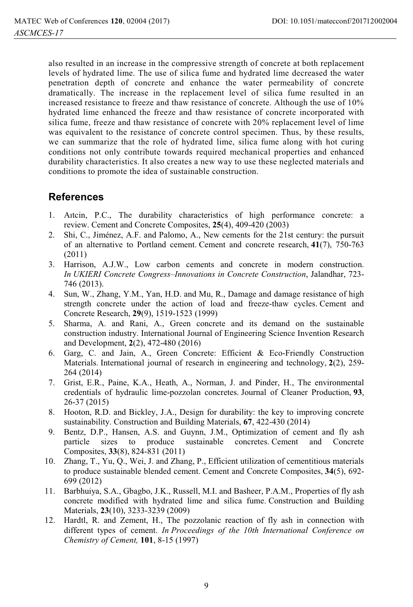also resulted in an increase in the compressive strength of concrete at both replacement levels of hydrated lime. The use of silica fume and hydrated lime decreased the water penetration depth of concrete and enhance the water permeability of concrete dramatically. The increase in the replacement level of silica fume resulted in an increased resistance to freeze and thaw resistance of concrete. Although the use of 10% hydrated lime enhanced the freeze and thaw resistance of concrete incorporated with silica fume, freeze and thaw resistance of concrete with 20% replacement level of lime was equivalent to the resistance of concrete control specimen. Thus, by these results, we can summarize that the role of hydrated lime, silica fume along with hot curing conditions not only contribute towards required mechanical properties and enhanced durability characteristics. It also creates a new way to use these neglected materials and conditions to promote the idea of sustainable construction.

### **References**

- 1. Attein, P.C., The durability characteristics of high performance concrete: a review. Cement and Concrete Composites, **25**(4), 409-420 (2003)
- 2. Shi, C., Jiménez, A.F. and Palomo, A., New cements for the 21st century: the pursuit of an alternative to Portland cement. Cement and concrete research, **41**(7), 750-763 (2011)
- 3. Harrison, A.J.W., Low carbon cements and concrete in modern construction. *In UKIERI Concrete Congress–Innovations in Concrete Construction*, Jalandhar, 723- 746 (2013).
- 4. Sun, W., Zhang, Y.M., Yan, H.D. and Mu, R., Damage and damage resistance of high strength concrete under the action of load and freeze-thaw cycles. Cement and Concrete Research, **29**(9), 1519-1523 (1999)
- 5. Sharma, A. and Rani, A., Green concrete and its demand on the sustainable construction industry. International Journal of Engineering Science Invention Research and Development, **2**(2), 472-480 (2016)
- 6. Garg, C. and Jain, A., Green Concrete: Efficient & Eco-Friendly Construction Materials. International journal of research in engineering and technology, **2**(2), 259- 264 (2014)
- 7. Grist, E.R., Paine, K.A., Heath, A., Norman, J. and Pinder, H., The environmental credentials of hydraulic lime-pozzolan concretes. Journal of Cleaner Production, **93**, 26-37 (2015)
- 8. Hooton, R.D. and Bickley, J.A., Design for durability: the key to improving concrete sustainability. Construction and Building Materials, **67**, 422-430 (2014)
- 9. Bentz, D.P., Hansen, A.S. and Guynn, J.M., Optimization of cement and fly ash particle sizes to produce sustainable concretes. Cement and Concrete Composites, **33**(8), 824-831 (2011)
- 10. Zhang, T., Yu, Q., Wei, J. and Zhang, P., Efficient utilization of cementitious materials to produce sustainable blended cement. Cement and Concrete Composites, **34**(5), 692- 699 (2012)
- 11. Barbhuiya, S.A., Gbagbo, J.K., Russell, M.I. and Basheer, P.A.M., Properties of fly ash concrete modified with hydrated lime and silica fume. Construction and Building Materials, **23**(10), 3233-3239 (2009)
- 12. Hardtl, R. and Zement, H., The pozzolanic reaction of fly ash in connection with different types of cement. *In Proceedings of the 10th International Conference on Chemistry of Cement,* **101**, 8-15 (1997)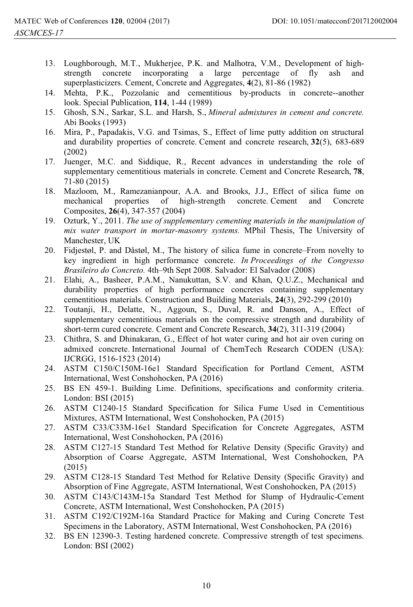- 13. Loughborough, M.T., Mukherjee, P.K. and Malhotra, V.M., Development of highstrength concrete incorporating a large percentage of fly ash and superplasticizers. Cement, Concrete and Aggregates, **4**(2), 81-86 (1982)
- 14. Mehta, P.K., Pozzolanic and cementitious by-products in concrete--another
- look. Special Publication, **114**, 1-44 (1989) 15. Ghosh, S.N., Sarkar, S.L. and Harsh, S., *Mineral admixtures in cement and concrete.* Abi Books (1993)
- 16. Mira, P., Papadakis, V.G. and Tsimas, S., Effect of lime putty addition on structural and durability properties of concrete. Cement and concrete research, **32**(5), 683-689 (2002)
- 17. Juenger, M.C. and Siddique, R., Recent advances in understanding the role of supplementary cementitious materials in concrete. Cement and Concrete Research, **78**, 71-80 (2015)
- 18. Mazloom, M., Ramezanianpour, A.A. and Brooks, J.J., Effect of silica fume on mechanical properties of high-strength concrete. Cement and Concrete Composites, **26**(4), 347-357 (2004)
- 19. Ozturk, Y., 2011. *The use of supplementary cementing materials in the manipulation of mix water transport in mortar-masonry systems.* MPhil Thesis, The University of Manchester, UK
- 20. Fidjestøl, P. and Dåstøl, M., The history of silica fume in concrete–From novelty to key ingredient in high performance concrete. *In Proceedings of the Congresso Brasileiro do Concreto.* 4th–9th Sept 2008. Salvador: El Salvador (2008)
- 21. Elahi, A., Basheer, P.A.M., Nanukuttan, S.V. and Khan, Q.U.Z., Mechanical and durability properties of high performance concretes containing supplementary cementitious materials. Construction and Building Materials, **24**(3), 292-299 (2010)
- 22. Toutanji, H., Delatte, N., Aggoun, S., Duval, R. and Danson, A., Effect of supplementary cementitious materials on the compressive strength and durability of short-term cured concrete. Cement and Concrete Research, **34**(2), 311-319 (2004)
- 23. Chithra, S. and Dhinakaran, G., Effect of hot water curing and hot air oven curing on admixed concrete. International Journal of ChemTech Research CODEN (USA): IJCRGG, 1516-1523 (2014)
- 24. ASTM C150/C150M-16e1 Standard Specification for Portland Cement, ASTM International, West Conshohocken, PA (2016)
- 25. BS EN 459-1. Building Lime. Definitions, specifications and conformity criteria. London: BSI (2015)
- 26. ASTM C1240-15 Standard Specification for Silica Fume Used in Cementitious Mixtures, ASTM International, West Conshohocken, PA (2015)
- 27. ASTM C33/C33M-16e1 Standard Specification for Concrete Aggregates, ASTM International, West Conshohocken, PA (2016)
- 28. ASTM C127-15 Standard Test Method for Relative Density (Specific Gravity) and Absorption of Coarse Aggregate, ASTM International, West Conshohocken, PA (2015)
- 29. ASTM C128-15 Standard Test Method for Relative Density (Specific Gravity) and Absorption of Fine Aggregate, ASTM International, West Conshohocken, PA (2015)
- 30. ASTM C143/C143M-15a Standard Test Method for Slump of Hydraulic-Cement Concrete, ASTM International, West Conshohocken, PA (2015)
- 31. ASTM C192/C192M-16a Standard Practice for Making and Curing Concrete Test Specimens in the Laboratory, ASTM International, West Conshohocken, PA (2016)
- 32. BS EN 12390-3. Testing hardened concrete. Compressive strength of test specimens. London: BSI (2002)